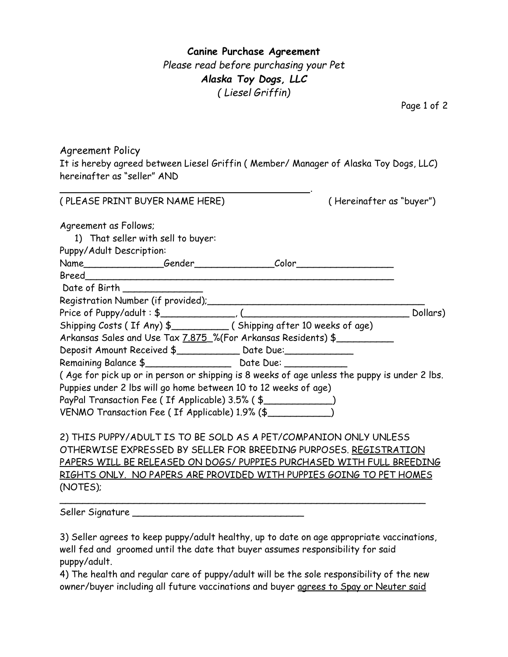**Canine Purchase Agreement** *Please read before purchasing your Pet Alaska Toy Dogs, LLC ( Liesel Griffin)*

Page 1 of 2

Agreement Policy It is hereby agreed between Liesel Griffin ( Member/ Manager of Alaska Toy Dogs, LLC) hereinafter as "seller" AND

| (PLEASE PRINT BUYER NAME HERE)                                                               | (Hereinafter as "buyer") |
|----------------------------------------------------------------------------------------------|--------------------------|
| Agreement as Follows;                                                                        |                          |
| 1) That seller with sell to buyer:                                                           |                          |
| Puppy/Adult Description:                                                                     |                          |
|                                                                                              |                          |
|                                                                                              |                          |
| Date of Birth _______________                                                                |                          |
|                                                                                              |                          |
|                                                                                              | ________ Dollars)        |
|                                                                                              |                          |
| Arkansas Sales and Use Tax 7.875 % (For Arkansas Residents) \$                               |                          |
| Deposit Amount Received \$____________ Date Due:_____________                                |                          |
|                                                                                              |                          |
| (Age for pick up or in person or shipping is 8 weeks of age unless the puppy is under 2 lbs. |                          |
| Puppies under 2 lbs will go home between 10 to 12 weeks of age)                              |                          |
| PayPal Transaction Fee (If Applicable) 3.5% (\$                                              |                          |
| VENMO Transaction Fee (If Applicable) 1.9% (\$                                               |                          |
| 2) THIS PUPPY/ADULT IS TO BE SOLD AS A PET/COMPANION ONLY UNLESS                             |                          |
| OTHERWISE EXPRESSED BY SELLER FOR BREEDING PURPOSES. REGISTRATION                            |                          |
| PAPERS WILL BE RELEASED ON DOGS/ PUPPIES PURCHASED WITH FULL BREEDING                        |                          |
| RIGHTS ONLY. NO PAPERS ARE PROVIDED WITH PUPPIES GOING TO PET HOMES                          |                          |

Seller Signature \_\_\_\_\_\_\_\_\_\_\_\_\_\_\_\_\_\_\_\_\_\_\_\_\_\_\_\_\_\_

(NOTES);

3) Seller agrees to keep puppy/adult healthy, up to date on age appropriate vaccinations, well fed and groomed until the date that buyer assumes responsibility for said puppy/adult.

4) The health and regular care of puppy/adult will be the sole responsibility of the new owner/buyer including all future vaccinations and buyer agrees to Spay or Neuter said